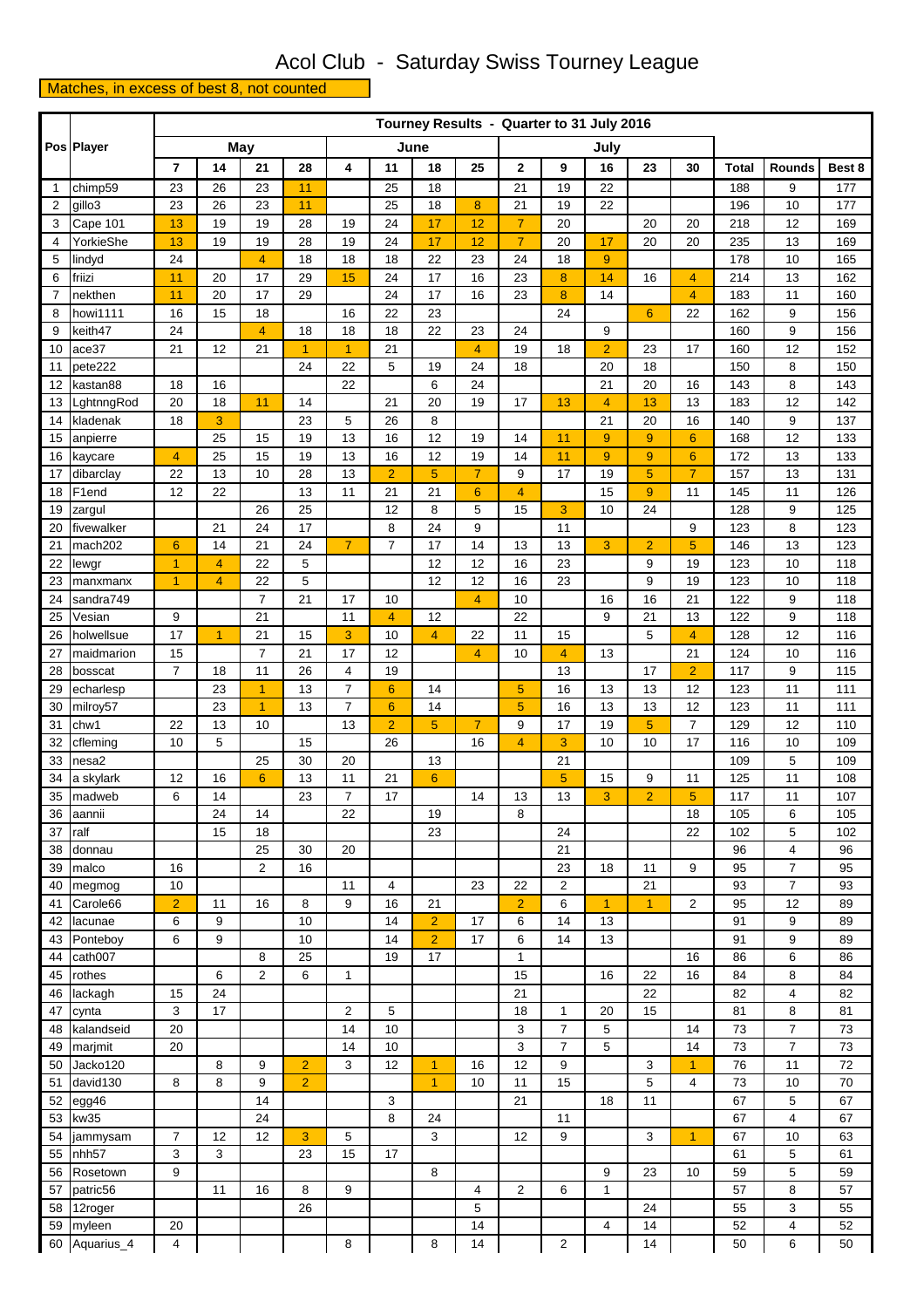## Acol Club - Saturday Swiss Tourney League

## Matches, in excess of best 8, not counted

|                | Pos Player          |                | Tourney Results - Quarter to 31 July 2016 |                            |                |                      |                                   |                      |                 |                     |                                  |                |                |                      |              |                                  |            |
|----------------|---------------------|----------------|-------------------------------------------|----------------------------|----------------|----------------------|-----------------------------------|----------------------|-----------------|---------------------|----------------------------------|----------------|----------------|----------------------|--------------|----------------------------------|------------|
|                |                     |                |                                           | May                        |                | June                 |                                   |                      |                 |                     |                                  | July           |                |                      |              |                                  |            |
|                |                     | $\overline{7}$ | 14                                        | 21                         | 28             | 4                    | 11                                | 18                   | 25              | 2                   | 9                                | 16             | 23             | 30                   | <b>Total</b> | <b>Rounds</b>                    | Best 8     |
| $\mathbf{1}$   | chimp59             | 23             | 26                                        | 23                         | 11             |                      | 25                                | 18                   |                 | 21                  | 19                               | 22             |                |                      | 188          | 9                                | 177        |
| 2              | gillo3              | 23             | 26                                        | 23                         | 11             |                      | 25                                | 18                   | 8               | 21                  | 19                               | 22             |                |                      | 196          | 10                               | 177        |
| 3              | Cape 101            | 13             | 19                                        | 19                         | 28             | 19                   | 24                                | 17                   | 12              | $\overline{7}$      | 20                               |                | 20             | 20                   | 218          | 12                               | 169        |
| 4              | YorkieShe           | 13             | 19                                        | 19                         | 28             | 19                   | 24                                | 17                   | 12              | $\overline{7}$      | 20                               | 17             | 20             | 20                   | 235          | 13                               | 169        |
| 5              | lindyd              | 24             |                                           | 4                          | 18             | 18                   | 18                                | 22                   | 23              | 24                  | 18                               | 9              |                |                      | 178          | 10                               | 165        |
| 6              | friizi              | 11             | 20                                        | 17                         | 29             | 15                   | 24                                | 17                   | 16              | 23                  | 8                                | 14             | 16             | 4                    | 214          | 13                               | 162        |
| $\overline{7}$ | nekthen             | 11             | 20                                        | 17                         | 29             |                      | 24                                | 17                   | 16              | 23                  | 8                                | 14             |                | $\overline{4}$       | 183          | 11                               | 160        |
| 8              | howi1111            | 16             | 15                                        | 18                         |                | 16                   | 22                                | 23                   |                 |                     | 24                               |                | $6\phantom{1}$ | 22                   | 162          | 9                                | 156        |
| 9              | keith47             | 24             |                                           | $\overline{4}$             | 18             | 18                   | 18                                | 22                   | 23              | 24                  |                                  | 9              |                |                      | 160          | 9                                | 156        |
| 10             | ace37               | 21             | 12                                        | 21                         | 1              | $\overline{1}$       | 21                                |                      | $\overline{4}$  | 19                  | 18                               | $\overline{2}$ | 23             | 17                   | 160          | 12                               | 152        |
| 11             | pete222<br>kastan88 | 18             | 16                                        |                            | 24             | 22<br>22             | 5                                 | 19<br>6              | 24<br>24        | 18                  |                                  | 20<br>21       | 18<br>20       | 16                   | 150<br>143   | 8<br>8                           | 150        |
| 12<br>13       | LghtnngRod          | 20             | 18                                        | 11                         | 14             |                      | 21                                | 20                   | 19              | 17                  | 13                               | 4              | 13             | 13                   | 183          | 12                               | 143<br>142 |
| 14             | kladenak            | 18             | 3                                         |                            | 23             | 5                    | 26                                | 8                    |                 |                     |                                  | 21             | 20             | 16                   | 140          | 9                                | 137        |
| 15             | anpierre            |                | 25                                        | 15                         | 19             | 13                   | 16                                | 12                   | 19              | 14                  | 11                               | 9              | 9              | $6\phantom{1}6$      | 168          | 12                               | 133        |
| 16             | kaycare             | $\overline{4}$ | 25                                        | 15                         | 19             | 13                   | 16                                | 12                   | 19              | 14                  | 11                               | 9              | 9              | $6\phantom{1}6$      | 172          | 13                               | 133        |
| 17             | dibarclay           | 22             | 13                                        | 10                         | 28             | 13                   | $\overline{2}$                    | 5                    | $\overline{7}$  | 9                   | 17                               | 19             | $\overline{5}$ | $\overline{7}$       | 157          | 13                               | 131        |
| 18             | F1end               | 12             | 22                                        |                            | 13             | 11                   | 21                                | 21                   | $6\phantom{1}6$ | 4                   |                                  | 15             | 9              | 11                   | 145          | 11                               | 126        |
| 19             | zargul              |                |                                           | 26                         | 25             |                      | 12                                | 8                    | 5               | 15                  | 3                                | 10             | 24             |                      | 128          | 9                                | 125        |
| 20             | fivewalker          |                | 21                                        | 24                         | 17             |                      | 8                                 | 24                   | 9               |                     | 11                               |                |                | 9                    | 123          | 8                                | 123        |
| 21             | mach202             | $6\phantom{1}$ | 14                                        | 21                         | 24             | $\overline{7}$       | $\overline{7}$                    | 17                   | 14              | 13                  | 13                               | 3              | $\overline{2}$ | 5                    | 146          | 13                               | 123        |
| 22             | lewgr               | $\overline{1}$ | $\overline{4}$                            | 22                         | 5              |                      |                                   | 12                   | 12              | 16                  | 23                               |                | 9              | 19                   | 123          | 10                               | 118        |
| 23             | manxmanx            | $\overline{1}$ | $\overline{4}$                            | 22                         | 5              |                      |                                   | 12                   | 12              | 16                  | 23                               |                | 9              | 19                   | 123          | 10                               | 118        |
| 24             | sandra749           |                |                                           | $\overline{7}$             | 21             | 17                   | 10                                |                      | $\overline{4}$  | 10                  |                                  | 16             | 16             | 21                   | 122          | 9                                | 118        |
| 25             | Vesian              | 9              |                                           | 21                         |                | 11                   | $\overline{4}$                    | 12                   |                 | 22                  |                                  | 9              | 21             | 13                   | 122          | 9                                | 118        |
| 26             | holwellsue          | 17             | $\mathbf{1}$                              | 21                         | 15             | 3                    | 10                                | $\overline{4}$       | 22              | 11                  | 15                               |                | 5              | $\overline{4}$       | 128          | 12                               | 116        |
| 27             | maidmarion          | 15             |                                           | $\overline{7}$             | 21             | 17                   | 12                                |                      | $\overline{4}$  | 10                  | $\overline{4}$                   | 13             |                | 21                   | 124          | 10                               | 116        |
| 28             | bosscat             | $\overline{7}$ | 18                                        | 11                         | 26             | 4                    | 19                                |                      |                 |                     | 13                               |                | 17             | $\overline{a}$       | 117          | 9                                | 115        |
| 29             | echarlesp           |                | 23                                        | $\blacktriangleleft$       | 13             | $\overline{7}$       | $6\phantom{1}$                    | 14                   |                 | 5                   | 16                               | 13             | 13             | 12                   | 123          | 11                               | 111        |
| 30<br>31       | milroy57<br>chw1    | 22             | 23<br>13                                  | $\blacktriangleleft$<br>10 | 13             | $\overline{7}$<br>13 | $6\phantom{1}6$<br>$\overline{2}$ | 14<br>5              | $\overline{7}$  | $\overline{5}$<br>9 | 16<br>17                         | 13<br>19       | 13<br>5        | 12<br>$\overline{7}$ | 123<br>129   | 11<br>12                         | 111<br>110 |
| 32             | cfleming            | 10             | 5                                         |                            | 15             |                      | 26                                |                      | 16              | 4                   | 3                                | 10             | 10             | 17                   | 116          | 10                               | 109        |
| 33             | nesa2               |                |                                           | 25                         | 30             | 20                   |                                   | 13                   |                 |                     | 21                               |                |                |                      | 109          | 5                                | 109        |
| 34             | a skylark           | 12             | 16                                        | $6\phantom{a}$             | 13             | 11                   | 21                                | $\overline{6}$       |                 |                     | 5                                | 15             | 9              | 11                   | 125          | 11                               | 108        |
| 35             | madweb              | 6              | 14                                        |                            | 23             | $\overline{7}$       | 17                                |                      | 14              | 13                  | 13                               | 3              | $\overline{2}$ | 5                    | 117          | 11                               | 107        |
| 36             | aannii              |                | 24                                        | 14                         |                | 22                   |                                   | 19                   |                 | 8                   |                                  |                |                | 18                   | 105          | 6                                | 105        |
| 37             | ralf                |                | 15                                        | 18                         |                |                      |                                   | 23                   |                 |                     | 24                               |                |                | 22                   | 102          | 5                                | 102        |
| 38             | donnau              |                |                                           | 25                         | 30             | 20                   |                                   |                      |                 |                     | 21                               |                |                |                      | 96           | 4                                | 96         |
| 39             | malco               | 16             |                                           | 2                          | 16             |                      |                                   |                      |                 |                     | 23                               | 18             | 11             | 9                    | 95           | $\overline{7}$                   | 95         |
| 40             | megmog              | 10             |                                           |                            |                | 11                   | 4                                 |                      | 23              | 22                  | $\overline{2}$                   |                | 21             |                      | 93           | $\overline{7}$                   | 93         |
| 41             | Carole66            | $\overline{2}$ | 11                                        | 16                         | 8              | 9                    | 16                                | 21                   |                 | $\overline{2}$      | 6                                | $\mathbf{1}$   | $\mathbf{1}$   | $\overline{c}$       | 95           | 12                               | 89         |
| 42             | lacunae             | 6              | 9                                         |                            | 10             |                      | 14                                | $\overline{2}$       | 17              | 6                   | 14                               | 13             |                |                      | 91           | 9                                | 89         |
| 43             | Ponteboy            | 6              | 9                                         |                            | 10             |                      | 14                                | $\overline{2}$       | 17              | 6                   | 14                               | 13             |                |                      | 91           | 9                                | 89         |
| 44             | cath007             |                |                                           | 8                          | 25             |                      | 19                                | 17                   |                 | 1                   |                                  |                |                | 16                   | 86           | 6                                | 86         |
| 45             | rothes              |                | 6                                         | $\overline{c}$             | 6              | 1                    |                                   |                      |                 | 15                  |                                  | 16             | 22             | 16                   | 84           | 8                                | 84         |
| 46             | lackagh             | 15             | 24                                        |                            |                |                      |                                   |                      |                 | 21                  |                                  |                | 22             |                      | 82           | 4                                | 82         |
| 47             | cynta               | 3              | 17                                        |                            |                | $\overline{2}$       | 5                                 |                      |                 | 18                  | $\mathbf{1}$                     | 20             | 15             |                      | 81           | 8                                | 81         |
| 48<br>49       | kalandseid          | 20<br>20       |                                           |                            |                | 14<br>14             | 10<br>10                          |                      |                 | 3<br>3              | $\overline{7}$<br>$\overline{7}$ | 5<br>5         |                | 14<br>14             | 73<br>73     | $\overline{7}$<br>$\overline{7}$ | 73<br>73   |
| 50             | marjmit<br>Jacko120 |                | 8                                         | 9                          | $\overline{2}$ | 3                    | 12                                | $\blacktriangleleft$ | 16              | 12                  | 9                                |                | 3              | $\mathbf{1}$         | 76           | 11                               | 72         |
| 51             | david130            | 8              | 8                                         | 9                          | $\overline{2}$ |                      |                                   | $\blacktriangleleft$ | 10              | 11                  | 15                               |                | 5              | 4                    | 73           | 10                               | 70         |
| 52             | egg46               |                |                                           | 14                         |                |                      | 3                                 |                      |                 | 21                  |                                  | 18             | 11             |                      | 67           | 5                                | 67         |
| 53             | kw35                |                |                                           | 24                         |                |                      | 8                                 | 24                   |                 |                     | 11                               |                |                |                      | 67           | $\overline{\mathbf{4}}$          | 67         |
| 54             | jammysam            | $\overline{7}$ | 12                                        | 12                         | 3              | 5                    |                                   | 3                    |                 | 12                  | 9                                |                | 3              | $\overline{1}$       | 67           | 10                               | 63         |
| 55             | nhh <sub>57</sub>   | 3              | 3                                         |                            | 23             | 15                   | 17                                |                      |                 |                     |                                  |                |                |                      | 61           | 5                                | 61         |
| 56             | Rosetown            | $\mathsf g$    |                                           |                            |                |                      |                                   | 8                    |                 |                     |                                  | 9              | 23             | 10                   | 59           | 5                                | 59         |
| 57             | patric56            |                | 11                                        | 16                         | 8              | 9                    |                                   |                      | $\overline{4}$  | $\overline{2}$      | 6                                | $\mathbf{1}$   |                |                      | 57           | 8                                | 57         |
| 58             | 12roger             |                |                                           |                            | 26             |                      |                                   |                      | 5               |                     |                                  |                | 24             |                      | 55           | 3                                | 55         |
|                | 59 myleen           | 20             |                                           |                            |                |                      |                                   |                      | 14              |                     |                                  | 4              | 14             |                      | 52           | 4                                | 52         |
|                | 60 Aquarius_4       | 4              |                                           |                            |                | 8                    |                                   | 8                    | 14              |                     | $\overline{\mathbf{c}}$          |                | 14             |                      | 50           | 6                                | 50         |